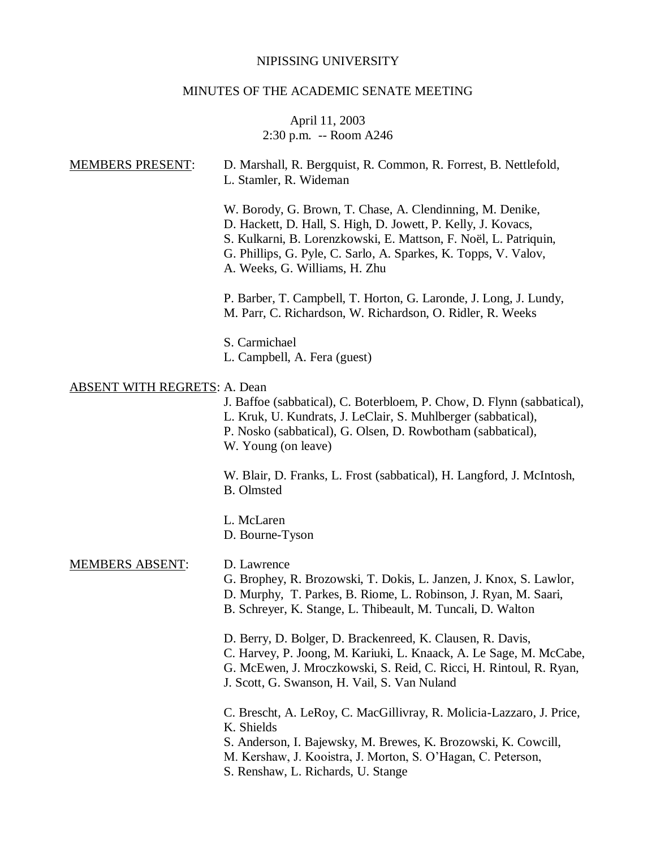# NIPISSING UNIVERSITY

# MINUTES OF THE ACADEMIC SENATE MEETING

# April 11, 2003 2:30 p.m. -- Room A246

| <b>MEMBERS PRESENT:</b>             | D. Marshall, R. Bergquist, R. Common, R. Forrest, B. Nettlefold,<br>L. Stamler, R. Wideman                                                                                                                                                                                                         |
|-------------------------------------|----------------------------------------------------------------------------------------------------------------------------------------------------------------------------------------------------------------------------------------------------------------------------------------------------|
|                                     | W. Borody, G. Brown, T. Chase, A. Clendinning, M. Denike,<br>D. Hackett, D. Hall, S. High, D. Jowett, P. Kelly, J. Kovacs,<br>S. Kulkarni, B. Lorenzkowski, E. Mattson, F. Noël, L. Patriquin,<br>G. Phillips, G. Pyle, C. Sarlo, A. Sparkes, K. Topps, V. Valov,<br>A. Weeks, G. Williams, H. Zhu |
|                                     | P. Barber, T. Campbell, T. Horton, G. Laronde, J. Long, J. Lundy,<br>M. Parr, C. Richardson, W. Richardson, O. Ridler, R. Weeks                                                                                                                                                                    |
|                                     | S. Carmichael<br>L. Campbell, A. Fera (guest)                                                                                                                                                                                                                                                      |
| <b>ABSENT WITH REGRETS: A. Dean</b> | J. Baffoe (sabbatical), C. Boterbloem, P. Chow, D. Flynn (sabbatical),<br>L. Kruk, U. Kundrats, J. LeClair, S. Muhlberger (sabbatical),<br>P. Nosko (sabbatical), G. Olsen, D. Rowbotham (sabbatical),<br>W. Young (on leave)                                                                      |
|                                     | W. Blair, D. Franks, L. Frost (sabbatical), H. Langford, J. McIntosh,<br><b>B.</b> Olmsted                                                                                                                                                                                                         |
|                                     | L. McLaren<br>D. Bourne-Tyson                                                                                                                                                                                                                                                                      |
| <b>MEMBERS ABSENT:</b>              | D. Lawrence<br>G. Brophey, R. Brozowski, T. Dokis, L. Janzen, J. Knox, S. Lawlor,<br>D. Murphy, T. Parkes, B. Riome, L. Robinson, J. Ryan, M. Saari,<br>B. Schreyer, K. Stange, L. Thibeault, M. Tuncali, D. Walton                                                                                |
|                                     | D. Berry, D. Bolger, D. Brackenreed, K. Clausen, R. Davis,<br>C. Harvey, P. Joong, M. Kariuki, L. Knaack, A. Le Sage, M. McCabe,<br>G. McEwen, J. Mroczkowski, S. Reid, C. Ricci, H. Rintoul, R. Ryan,<br>J. Scott, G. Swanson, H. Vail, S. Van Nuland                                             |
|                                     | C. Brescht, A. LeRoy, C. MacGillivray, R. Molicia-Lazzaro, J. Price,<br>K. Shields<br>S. Anderson, I. Bajewsky, M. Brewes, K. Brozowski, K. Cowcill,<br>M. Kershaw, J. Kooistra, J. Morton, S. O'Hagan, C. Peterson,<br>S. Renshaw, L. Richards, U. Stange                                         |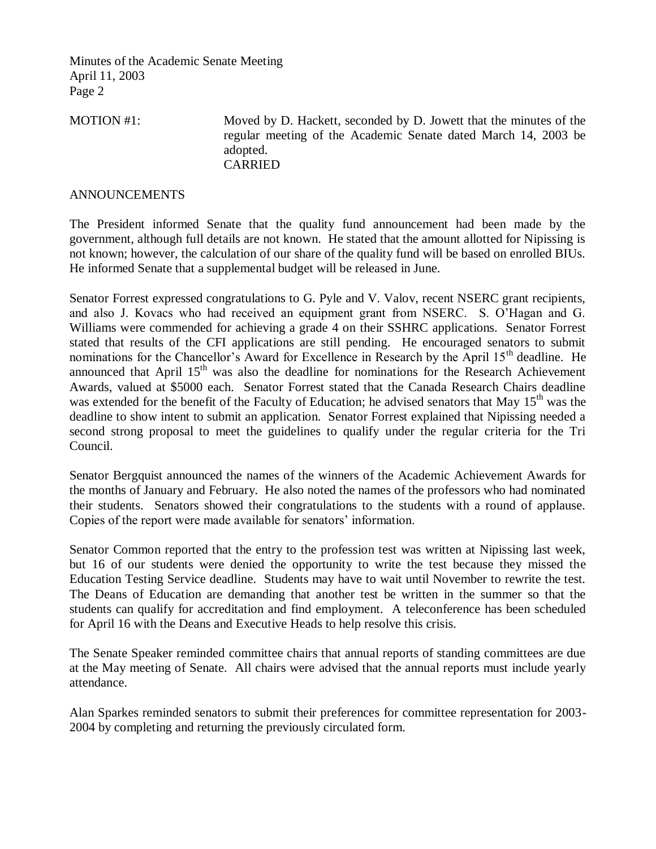MOTION #1: Moved by D. Hackett, seconded by D. Jowett that the minutes of the regular meeting of the Academic Senate dated March 14, 2003 be adopted. CARRIED

### ANNOUNCEMENTS

The President informed Senate that the quality fund announcement had been made by the government, although full details are not known. He stated that the amount allotted for Nipissing is not known; however, the calculation of our share of the quality fund will be based on enrolled BIUs. He informed Senate that a supplemental budget will be released in June.

Senator Forrest expressed congratulations to G. Pyle and V. Valov, recent NSERC grant recipients, and also J. Kovacs who had received an equipment grant from NSERC. S. O'Hagan and G. Williams were commended for achieving a grade 4 on their SSHRC applications. Senator Forrest stated that results of the CFI applications are still pending. He encouraged senators to submit nominations for the Chancellor's Award for Excellence in Research by the April 15<sup>th</sup> deadline. He announced that April  $15<sup>th</sup>$  was also the deadline for nominations for the Research Achievement Awards, valued at \$5000 each. Senator Forrest stated that the Canada Research Chairs deadline was extended for the benefit of the Faculty of Education; he advised senators that May 15<sup>th</sup> was the deadline to show intent to submit an application. Senator Forrest explained that Nipissing needed a second strong proposal to meet the guidelines to qualify under the regular criteria for the Tri Council.

Senator Bergquist announced the names of the winners of the Academic Achievement Awards for the months of January and February. He also noted the names of the professors who had nominated their students. Senators showed their congratulations to the students with a round of applause. Copies of the report were made available for senators' information.

Senator Common reported that the entry to the profession test was written at Nipissing last week, but 16 of our students were denied the opportunity to write the test because they missed the Education Testing Service deadline. Students may have to wait until November to rewrite the test. The Deans of Education are demanding that another test be written in the summer so that the students can qualify for accreditation and find employment. A teleconference has been scheduled for April 16 with the Deans and Executive Heads to help resolve this crisis.

The Senate Speaker reminded committee chairs that annual reports of standing committees are due at the May meeting of Senate. All chairs were advised that the annual reports must include yearly attendance.

Alan Sparkes reminded senators to submit their preferences for committee representation for 2003- 2004 by completing and returning the previously circulated form.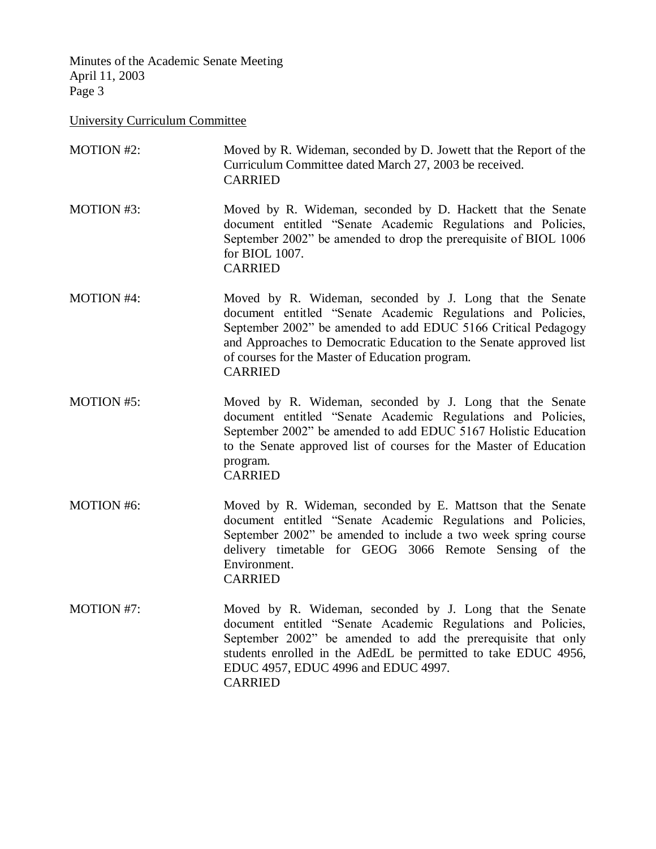University Curriculum Committee

| <b>MOTION #2:</b> | Moved by R. Wideman, seconded by D. Jowett that the Report of the<br>Curriculum Committee dated March 27, 2003 be received.<br><b>CARRIED</b>                                                                                                                                                                                        |
|-------------------|--------------------------------------------------------------------------------------------------------------------------------------------------------------------------------------------------------------------------------------------------------------------------------------------------------------------------------------|
| <b>MOTION #3:</b> | Moved by R. Wideman, seconded by D. Hackett that the Senate<br>document entitled "Senate Academic Regulations and Policies,<br>September 2002" be amended to drop the prerequisite of BIOL 1006<br>for BIOL 1007.<br><b>CARRIED</b>                                                                                                  |
| <b>MOTION #4:</b> | Moved by R. Wideman, seconded by J. Long that the Senate<br>document entitled "Senate Academic Regulations and Policies,<br>September 2002" be amended to add EDUC 5166 Critical Pedagogy<br>and Approaches to Democratic Education to the Senate approved list<br>of courses for the Master of Education program.<br><b>CARRIED</b> |
| <b>MOTION #5:</b> | Moved by R. Wideman, seconded by J. Long that the Senate<br>document entitled "Senate Academic Regulations and Policies,<br>September 2002" be amended to add EDUC 5167 Holistic Education<br>to the Senate approved list of courses for the Master of Education<br>program.<br><b>CARRIED</b>                                       |
| <b>MOTION #6:</b> | Moved by R. Wideman, seconded by E. Mattson that the Senate<br>document entitled "Senate Academic Regulations and Policies,<br>September 2002" be amended to include a two week spring course<br>delivery timetable for GEOG 3066 Remote Sensing of the<br>Environment.<br><b>CARRIED</b>                                            |
| <b>MOTION #7:</b> | Moved by R. Wideman, seconded by J. Long that the Senate<br>document entitled "Senate Academic Regulations and Policies,<br>September 2002" be amended to add the prerequisite that only<br>students enrolled in the AdEdL be permitted to take EDUC 4956,<br>EDUC 4957, EDUC 4996 and EDUC 4997.<br><b>CARRIED</b>                  |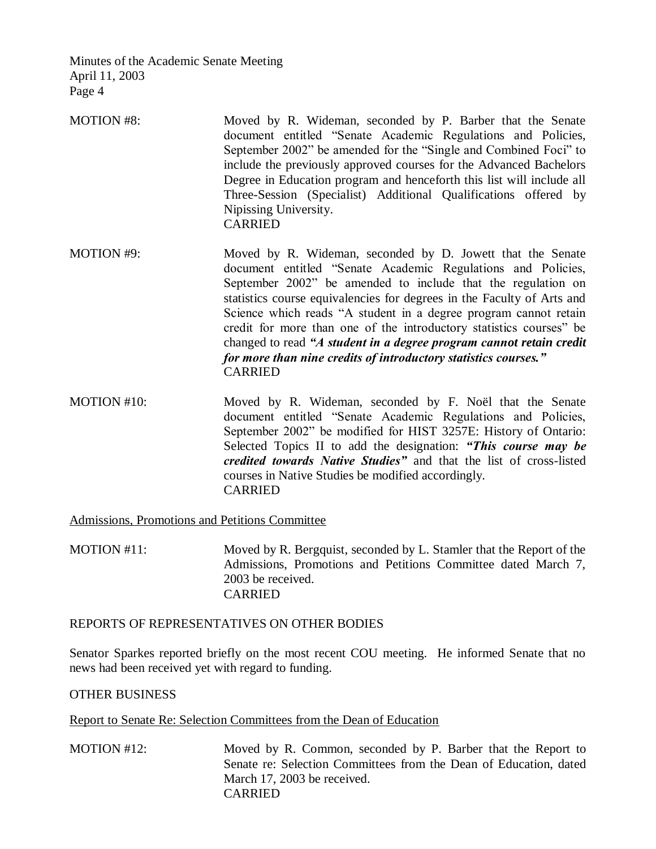- MOTION #8: Moved by R. Wideman, seconded by P. Barber that the Senate document entitled "Senate Academic Regulations and Policies, September 2002" be amended for the "Single and Combined Foci" to include the previously approved courses for the Advanced Bachelors Degree in Education program and henceforth this list will include all Three-Session (Specialist) Additional Qualifications offered by Nipissing University. CARRIED
- MOTION #9: Moved by R. Wideman, seconded by D. Jowett that the Senate document entitled "Senate Academic Regulations and Policies, September 2002" be amended to include that the regulation on statistics course equivalencies for degrees in the Faculty of Arts and Science which reads "A student in a degree program cannot retain credit for more than one of the introductory statistics courses" be changed to read *"A student in a degree program cannot retain credit for more than nine credits of introductory statistics courses."* CARRIED
- MOTION #10: Moved by R. Wideman, seconded by F. Noël that the Senate document entitled "Senate Academic Regulations and Policies, September 2002" be modified for HIST 3257E: History of Ontario: Selected Topics II to add the designation: *"This course may be credited towards Native Studies"* and that the list of cross-listed courses in Native Studies be modified accordingly. CARRIED

Admissions, Promotions and Petitions Committee

MOTION #11: Moved by R. Bergquist, seconded by L. Stamler that the Report of the Admissions, Promotions and Petitions Committee dated March 7, 2003 be received. CARRIED

### REPORTS OF REPRESENTATIVES ON OTHER BODIES

Senator Sparkes reported briefly on the most recent COU meeting. He informed Senate that no news had been received yet with regard to funding.

### OTHER BUSINESS

Report to Senate Re: Selection Committees from the Dean of Education

MOTION #12: Moved by R. Common, seconded by P. Barber that the Report to Senate re: Selection Committees from the Dean of Education, dated March 17, 2003 be received. CARRIED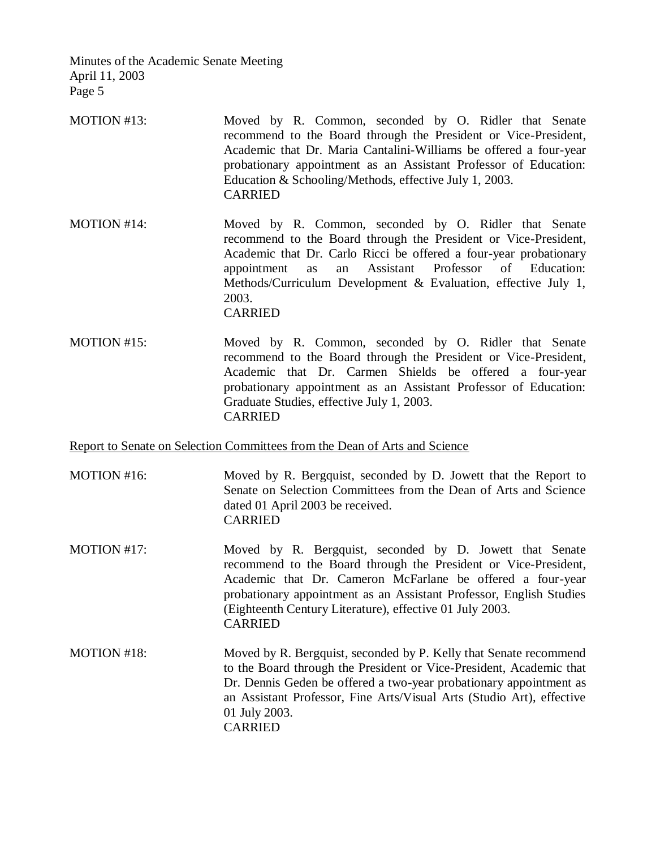- MOTION #13: Moved by R. Common, seconded by O. Ridler that Senate recommend to the Board through the President or Vice-President, Academic that Dr. Maria Cantalini-Williams be offered a four-year probationary appointment as an Assistant Professor of Education: Education & Schooling/Methods, effective July 1, 2003. CARRIED
- MOTION #14: Moved by R. Common, seconded by O. Ridler that Senate recommend to the Board through the President or Vice-President, Academic that Dr. Carlo Ricci be offered a four-year probationary appointment as an Assistant Professor of Education: Methods/Curriculum Development & Evaluation, effective July 1, 2003. CARRIED
- MOTION #15: Moved by R. Common, seconded by O. Ridler that Senate recommend to the Board through the President or Vice-President, Academic that Dr. Carmen Shields be offered a four-year probationary appointment as an Assistant Professor of Education: Graduate Studies, effective July 1, 2003. CARRIED

#### Report to Senate on Selection Committees from the Dean of Arts and Science

- MOTION #16: Moved by R. Bergquist, seconded by D. Jowett that the Report to Senate on Selection Committees from the Dean of Arts and Science dated 01 April 2003 be received. CARRIED
- MOTION #17: Moved by R. Bergquist, seconded by D. Jowett that Senate recommend to the Board through the President or Vice-President, Academic that Dr. Cameron McFarlane be offered a four-year probationary appointment as an Assistant Professor, English Studies (Eighteenth Century Literature), effective 01 July 2003. CARRIED
- MOTION #18: Moved by R. Bergquist, seconded by P. Kelly that Senate recommend to the Board through the President or Vice-President, Academic that Dr. Dennis Geden be offered a two-year probationary appointment as an Assistant Professor, Fine Arts/Visual Arts (Studio Art), effective 01 July 2003. CARRIED